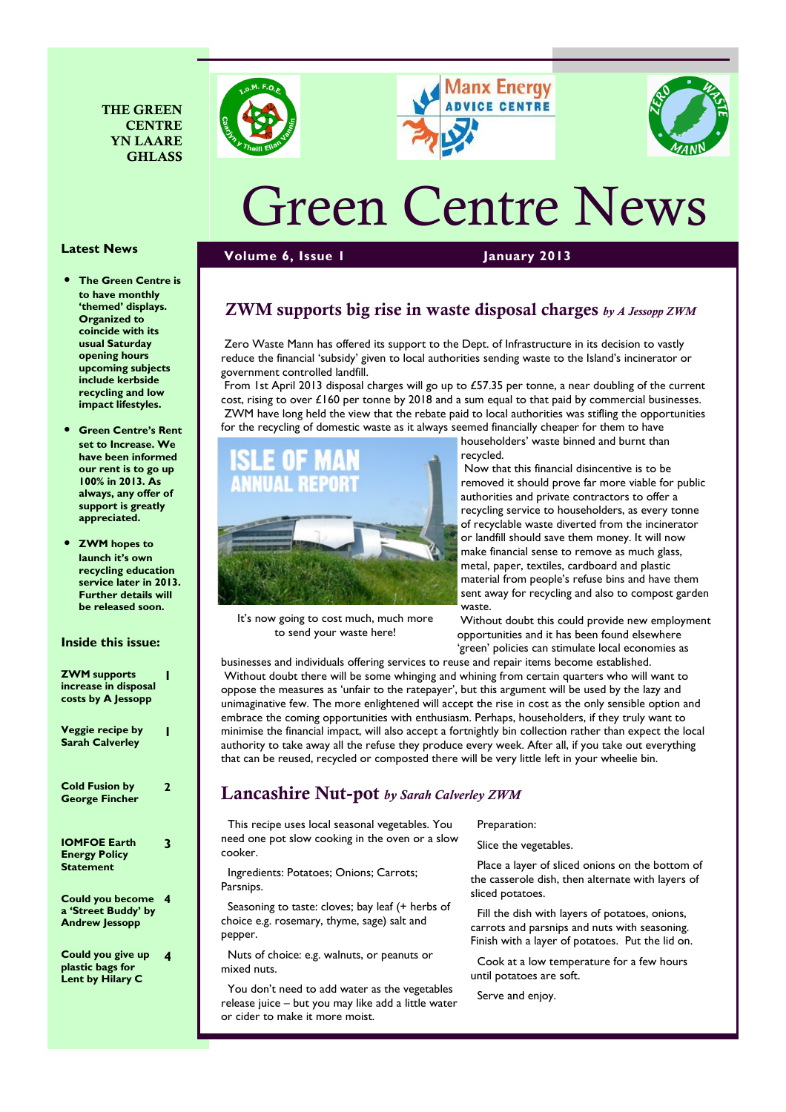







# Green Centre News

#### Volume 6, Issue 1 January 2013

# ZWM supports big rise in waste disposal charges  $b<sub>y</sub>$  A Jessopp ZWM

 Zero Waste Mann has offered its support to the Dept. of Infrastructure in its decision to vastly reduce the financial 'subsidy' given to local authorities sending waste to the Island's incinerator or government controlled landfill.

 From 1st April 2013 disposal charges will go up to £57.35 per tonne, a near doubling of the current cost, rising to over £160 per tonne by 2018 and a sum equal to that paid by commercial businesses. ZWM have long held the view that the rebate paid to local authorities was stifling the opportunities for the recycling of domestic waste as it always seemed financially cheaper for them to have



It's now going to cost much, much more to send your waste here!

householders' waste binned and burnt than recycled.

 Now that this financial disincentive is to be removed it should prove far more viable for public authorities and private contractors to offer a recycling service to householders, as every tonne of recyclable waste diverted from the incinerator or landfill should save them money. It will now make financial sense to remove as much glass, metal, paper, textiles, cardboard and plastic material from people's refuse bins and have them sent away for recycling and also to compost garden waste.

 Without doubt this could provide new employment opportunities and it has been found elsewhere 'green' policies can stimulate local economies as

businesses and individuals offering services to reuse and repair items become established. Without doubt there will be some whinging and whining from certain quarters who will want to oppose the measures as 'unfair to the ratepayer', but this argument will be used by the lazy and unimaginative few. The more enlightened will accept the rise in cost as the only sensible option and embrace the coming opportunities with enthusiasm. Perhaps, householders, if they truly want to minimise the financial impact, will also accept a fortnightly bin collection rather than expect the local authority to take away all the refuse they produce every week. After all, if you take out everything that can be reused, recycled or composted there will be very little left in your wheelie bin.

# Lancashire Nut-pot by Sarah Calverley ZWM

 This recipe uses local seasonal vegetables. You need one pot slow cooking in the oven or a slow cooker.

 Ingredients: Potatoes; Onions; Carrots; Parsnips.

 Seasoning to taste: cloves; bay leaf (+ herbs of choice e.g. rosemary, thyme, sage) salt and pepper.

 Nuts of choice: e.g. walnuts, or peanuts or mixed nuts.

 You don't need to add water as the vegetables release juice – but you may like add a little water or cider to make it more moist.

Preparation:

Slice the vegetables.

 Place a layer of sliced onions on the bottom of the casserole dish, then alternate with layers of sliced potatoes.

 Fill the dish with layers of potatoes, onions, carrots and parsnips and nuts with seasoning. Finish with a layer of potatoes. Put the lid on.

 Cook at a low temperature for a few hours until potatoes are soft.

Serve and enjoy.

#### Latest News

- The Green Centre is to have monthly 'themed' displays. Organized to coincide with its usual Saturday opening hours upcoming subjects include kerbside recycling and low impact lifestyles.
- Green Centre's Rent set to Increase. We have been informed our rent is to go up 100% in 2013. As always, any offer of support is greatly appreciated.

• ZWM hopes to launch it's own recycling education service later in 2013. Further details will be released soon.

#### Inside this issue:

| <b>ZWM</b> supports<br>increase in disposal<br>costs by A Jessopp       |   |
|-------------------------------------------------------------------------|---|
| Veggie recipe by<br><b>Sarah Calverley</b>                              | ı |
| <b>Cold Fusion by</b><br><b>George Fincher</b>                          | 2 |
| <b>IOMFOE Earth</b><br><b>Energy Policy</b><br>Statement                | 3 |
| <b>Could you become</b><br>a 'Street Buddy' by<br><b>Andrew Jessopp</b> | 4 |
| Could you give up                                                       | 4 |

plastic bags for Lent by Hilary C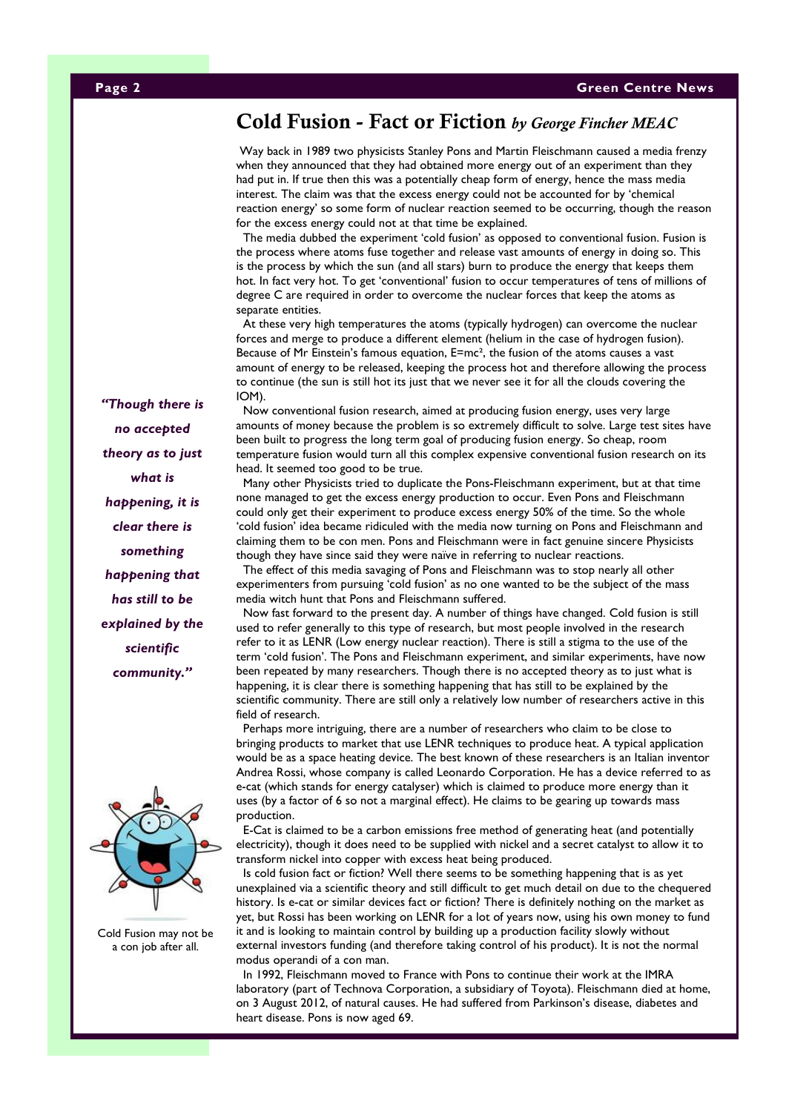# Cold Fusion - Fact or Fiction by George Fincher MEAC

Way back in 1989 two physicists Stanley Pons and Martin Fleischmann caused a media frenzy when they announced that they had obtained more energy out of an experiment than they had put in. If true then this was a potentially cheap form of energy, hence the mass media interest. The claim was that the excess energy could not be accounted for by 'chemical reaction energy' so some form of nuclear reaction seemed to be occurring, though the reason for the excess energy could not at that time be explained.

 The media dubbed the experiment 'cold fusion' as opposed to conventional fusion. Fusion is the process where atoms fuse together and release vast amounts of energy in doing so. This is the process by which the sun (and all stars) burn to produce the energy that keeps them hot. In fact very hot. To get 'conventional' fusion to occur temperatures of tens of millions of degree C are required in order to overcome the nuclear forces that keep the atoms as separate entities.

 At these very high temperatures the atoms (typically hydrogen) can overcome the nuclear forces and merge to produce a different element (helium in the case of hydrogen fusion). Because of Mr Einstein's famous equation, E=mc<sup>2</sup>, the fusion of the atoms causes a vast amount of energy to be released, keeping the process hot and therefore allowing the process to continue (the sun is still hot its just that we never see it for all the clouds covering the IOM).

 Now conventional fusion research, aimed at producing fusion energy, uses very large amounts of money because the problem is so extremely difficult to solve. Large test sites have been built to progress the long term goal of producing fusion energy. So cheap, room temperature fusion would turn all this complex expensive conventional fusion research on its head. It seemed too good to be true.

 Many other Physicists tried to duplicate the Pons-Fleischmann experiment, but at that time none managed to get the excess energy production to occur. Even Pons and Fleischmann could only get their experiment to produce excess energy 50% of the time. So the whole 'cold fusion' idea became ridiculed with the media now turning on Pons and Fleischmann and claiming them to be con men. Pons and Fleischmann were in fact genuine sincere Physicists though they have since said they were naïve in referring to nuclear reactions.

 The effect of this media savaging of Pons and Fleischmann was to stop nearly all other experimenters from pursuing 'cold fusion' as no one wanted to be the subject of the mass media witch hunt that Pons and Fleischmann suffered.

 Now fast forward to the present day. A number of things have changed. Cold fusion is still used to refer generally to this type of research, but most people involved in the research refer to it as LENR (Low energy nuclear reaction). There is still a stigma to the use of the term 'cold fusion'. The Pons and Fleischmann experiment, and similar experiments, have now been repeated by many researchers. Though there is no accepted theory as to just what is happening, it is clear there is something happening that has still to be explained by the scientific community. There are still only a relatively low number of researchers active in this field of research.

 Perhaps more intriguing, there are a number of researchers who claim to be close to bringing products to market that use LENR techniques to produce heat. A typical application would be as a space heating device. The best known of these researchers is an Italian inventor Andrea Rossi, whose company is called Leonardo Corporation. He has a device referred to as e-cat (which stands for energy catalyser) which is claimed to produce more energy than it uses (by a factor of 6 so not a marginal effect). He claims to be gearing up towards mass production.

 E-Cat is claimed to be a carbon emissions free method of generating heat (and potentially electricity), though it does need to be supplied with nickel and a secret catalyst to allow it to transform nickel into copper with excess heat being produced.

 Is cold fusion fact or fiction? Well there seems to be something happening that is as yet unexplained via a scientific theory and still difficult to get much detail on due to the chequered history. Is e-cat or similar devices fact or fiction? There is definitely nothing on the market as yet, but Rossi has been working on LENR for a lot of years now, using his own money to fund it and is looking to maintain control by building up a production facility slowly without external investors funding (and therefore taking control of his product). It is not the normal modus operandi of a con man.

In 1992, Fleischmann moved to France with Pons to continue their work at the IMRA laboratory (part of Technova Corporation, a subsidiary of Toyota). Fleischmann died at home, on 3 August 2012, of natural causes. He had suffered from Parkinson's disease, diabetes and heart disease. Pons is now aged 69.

"Though there is no accepted theory as to just what is happening, it is clear there is something happening that has still to be explained by the scientific community."



Cold Fusion may not be a con job after all.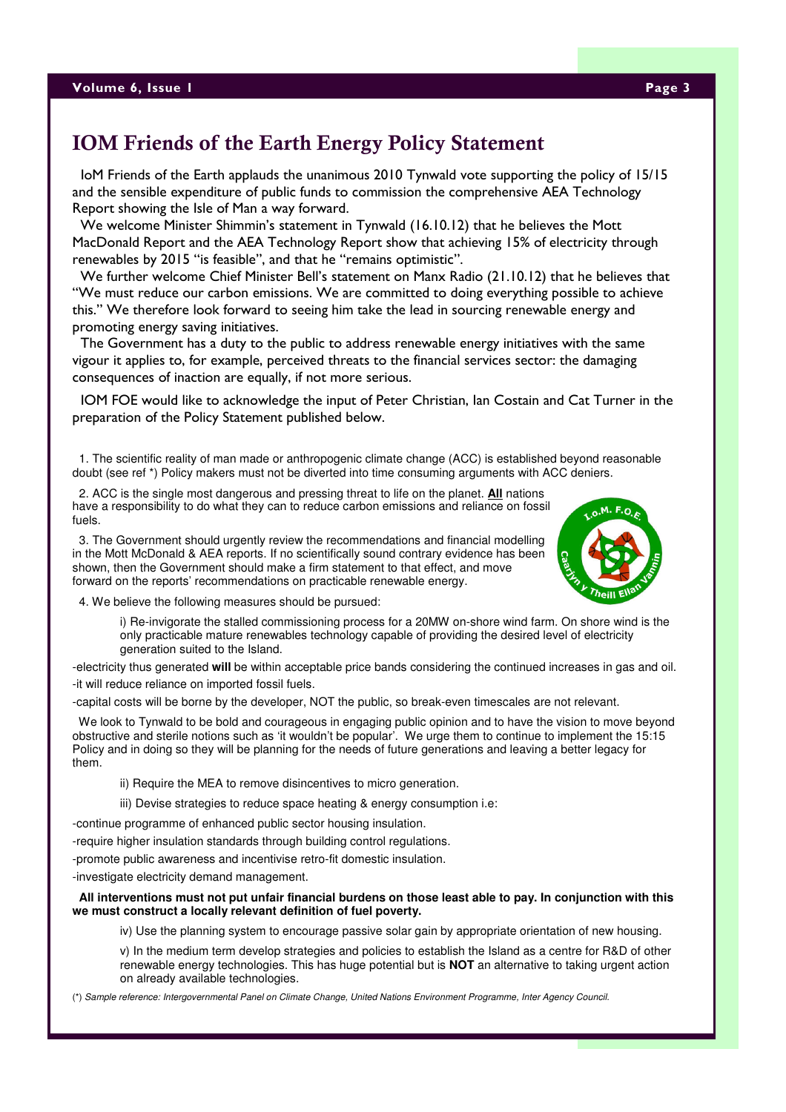# IOM Friends of the Earth Energy Policy Statement

 IoM Friends of the Earth applauds the unanimous 2010 Tynwald vote supporting the policy of 15/15 and the sensible expenditure of public funds to commission the comprehensive AEA Technology Report showing the Isle of Man a way forward.

 We welcome Minister Shimmin's statement in Tynwald (16.10.12) that he believes the Mott MacDonald Report and the AEA Technology Report show that achieving 15% of electricity through renewables by 2015 "is feasible", and that he "remains optimistic".

 We further welcome Chief Minister Bell's statement on Manx Radio (21.10.12) that he believes that "We must reduce our carbon emissions. We are committed to doing everything possible to achieve this." We therefore look forward to seeing him take the lead in sourcing renewable energy and promoting energy saving initiatives.

 The Government has a duty to the public to address renewable energy initiatives with the same vigour it applies to, for example, perceived threats to the financial services sector: the damaging consequences of inaction are equally, if not more serious.

 IOM FOE would like to acknowledge the input of Peter Christian, Ian Costain and Cat Turner in the preparation of the Policy Statement published below.

 1. The scientific reality of man made or anthropogenic climate change (ACC) is established beyond reasonable doubt (see ref \*) Policy makers must not be diverted into time consuming arguments with ACC deniers.

 2. ACC is the single most dangerous and pressing threat to life on the planet. **All** nations have a responsibility to do what they can to reduce carbon emissions and reliance on fossil fuels.

 3. The Government should urgently review the recommendations and financial modelling in the Mott McDonald & AEA reports. If no scientifically sound contrary evidence has been shown, then the Government should make a firm statement to that effect, and move forward on the reports' recommendations on practicable renewable energy.



4. We believe the following measures should be pursued:

 i) Re-invigorate the stalled commissioning process for a 20MW on-shore wind farm. On shore wind is the only practicable mature renewables technology capable of providing the desired level of electricity generation suited to the Island.

-electricity thus generated **will** be within acceptable price bands considering the continued increases in gas and oil. -it will reduce reliance on imported fossil fuels.

-capital costs will be borne by the developer, NOT the public, so break-even timescales are not relevant.

 We look to Tynwald to be bold and courageous in engaging public opinion and to have the vision to move beyond obstructive and sterile notions such as 'it wouldn't be popular'. We urge them to continue to implement the 15:15 Policy and in doing so they will be planning for the needs of future generations and leaving a better legacy for them.

ii) Require the MEA to remove disincentives to micro generation.

iii) Devise strategies to reduce space heating & energy consumption i.e:

-continue programme of enhanced public sector housing insulation.

-require higher insulation standards through building control regulations.

-promote public awareness and incentivise retro-fit domestic insulation.

-investigate electricity demand management.

#### **All interventions must not put unfair financial burdens on those least able to pay. In conjunction with this we must construct a locally relevant definition of fuel poverty.**

iv) Use the planning system to encourage passive solar gain by appropriate orientation of new housing.

 v) In the medium term develop strategies and policies to establish the Island as a centre for R&D of other renewable energy technologies. This has huge potential but is **NOT** an alternative to taking urgent action on already available technologies.

(\*) Sample reference: Intergovernmental Panel on Climate Change, United Nations Environment Programme, Inter Agency Council.